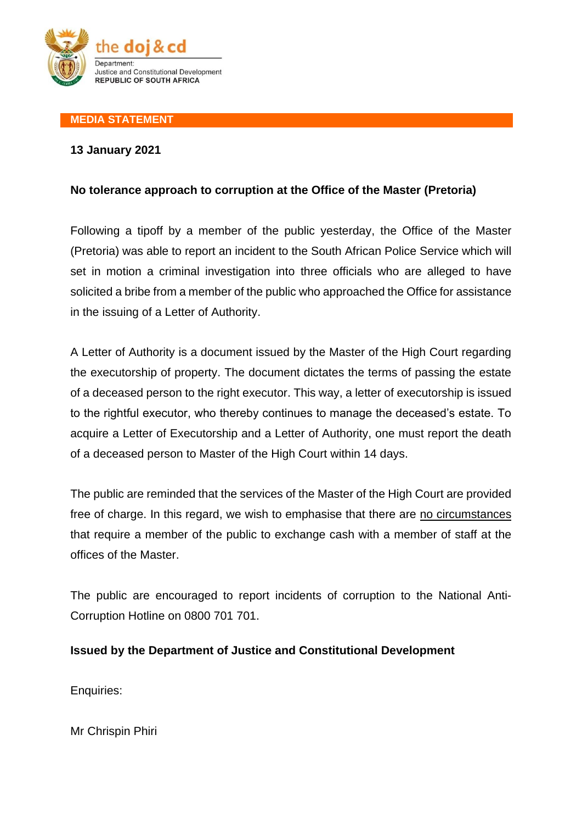

## **MEDIA STATEMENT**

## **13 January 2021**

## **No tolerance approach to corruption at the Office of the Master (Pretoria)**

Following a tipoff by a member of the public yesterday, the Office of the Master (Pretoria) was able to report an incident to the South African Police Service which will set in motion a criminal investigation into three officials who are alleged to have solicited a bribe from a member of the public who approached the Office for assistance in the issuing of a Letter of Authority.

A Letter of Authority is a document issued by the Master of the High Court regarding the executorship of property. The document dictates the terms of passing the estate of a deceased person to the right executor. This way, a letter of executorship is issued to the rightful executor, who thereby continues to manage the deceased's estate. To acquire a Letter of Executorship and a Letter of Authority, one must report the death of a deceased person to Master of the High Court within 14 days.

The public are reminded that the services of the Master of the High Court are provided free of charge. In this regard, we wish to emphasise that there are no circumstances that require a member of the public to exchange cash with a member of staff at the offices of the Master.

The public are encouraged to report incidents of corruption to the National Anti-Corruption Hotline on 0800 701 701.

## **Issued by the Department of Justice and Constitutional Development**

Enquiries:

Mr Chrispin Phiri